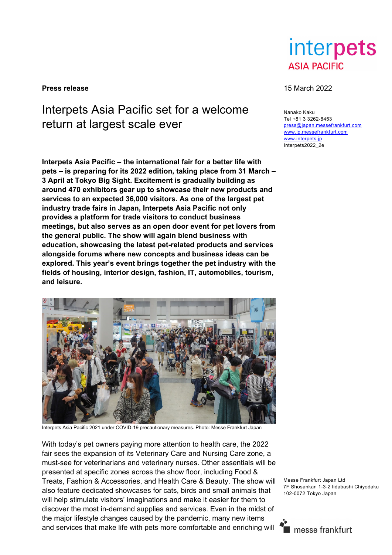

**Press release** 15 March 2022

## Interpets Asia Pacific set for a welcome return at largest scale ever

**Interpets Asia Pacific – the international fair for a better life with pets – is preparing for its 2022 edition, taking place from 31 March – 3 April at Tokyo Big Sight. Excitement is gradually building as around 470 exhibitors gear up to showcase their new products and services to an expected 36,000 visitors. As one of the largest pet industry trade fairs in Japan, Interpets Asia Pacific not only provides a platform for trade visitors to conduct business meetings, but also serves as an open door event for pet lovers from the general public. The show will again blend business with education, showcasing the latest pet-related products and services alongside forums where new concepts and business ideas can be explored. This year's event brings together the pet industry with the fields of housing, interior design, fashion, IT, automobiles, tourism, and leisure.** 



Interpets Asia Pacific 2021 under COVID-19 precautionary measures. Photo: Messe Frankfurt Japan

With today's pet owners paying more attention to health care, the 2022 fair sees the expansion of its Veterinary Care and Nursing Care zone, a must-see for veterinarians and veterinary nurses. Other essentials will be presented at specific zones across the show floor, including Food & Treats, Fashion & Accessories, and Health Care & Beauty. The show will also feature dedicated showcases for cats, birds and small animals that will help stimulate visitors' imaginations and make it easier for them to discover the most in-demand supplies and services. Even in the midst of the major lifestyle changes caused by the pandemic, many new items and services that make life with pets more comfortable and enriching will

Nanako Kaku Tel +81 3 3262-8453 press@japan.messefrankfurt.com www.jp.messefrankfurt.com www.interpets.jp Interpets2022\_2e

Messe Frankfurt Japan Ltd 7F Shosankan 1-3-2 Iidabashi Chiyodaku 102-0072 Tokyo Japan